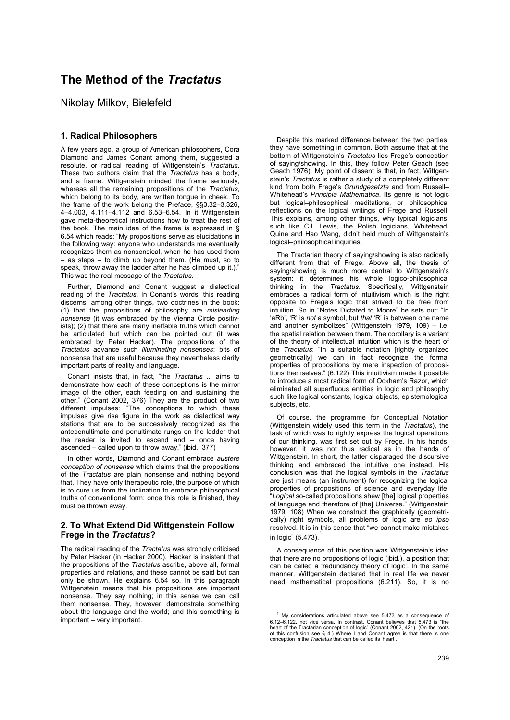# **The Method of the** *Tractatus*

Nikolay Milkov, Bielefeld

## **1. Radical Philosophers**

A few years ago, a group of American philosophers, Cora Diamond and James Conant among them, suggested a resolute, or radical reading of Wittgenstein's *Tractatus*. These two authors claim that the *Tractatus* has a body, and a frame. Wittgenstein minded the frame seriously, whereas all the remaining propositions of the *Tractatus*, which belong to its body, are written tongue in cheek. To the frame of the work belong the Preface, §§3.32–3.326, 4–4.003, 4.111–4.112 and 6.53–6.54. In it Wittgenstein gave meta-theoretical instructions how to treat the rest of the book. The main idea of the frame is expressed in § 6.54 which reads: "My propositions serve as elucidations in the following way: anyone who understands me eventually recognizes them as nonsensical, when he has used them – as steps – to climb up beyond them. (He must, so to speak, throw away the ladder after he has climbed up it.). This was the real message of the *Tractatus*.

Further, Diamond and Conant suggest a dialectical reading of the *Tractatus*. In Conant's words, this reading discerns, among other things, two doctrines in the book: (1) that the propositions of philosophy are *misleading nonsense* (it was embraced by the Vienna Circle positivists); (2) that there are many ineffable truths which cannot be articulated but which can be pointed out (it was embraced by Peter Hacker). The propositions of the *Tractatus* advance such *illuminating nonsenses*: bits of nonsense that are useful because they nevertheless clarify important parts of reality and language.

Conant insists that, in fact, "the *Tractatus* ... aims to demonstrate how each of these conceptions is the mirror image of the other, each feeding on and sustaining the other." (Conant 2002, 376) They are the product of two different impulses: "The conceptions to which these impulses give rise figure in the work as dialectical way stations that are to be successively recognized as the antepenultimate and penultimate rungs on the ladder that the reader is invited to ascend and – once having ascended – called upon to throw away." (ibid., 377)

In other words, Diamond and Conant embrace *austere conception of nonsense* which claims that the propositions of the *Tractatus* are plain nonsense and nothing beyond that. They have only therapeutic role, the purpose of which is to cure us from the inclination to embrace philosophical truths of conventional form; once this role is finished, they must be thrown away.

#### **2. To What Extend Did Wittgenstein Follow Frege in the** *Tractatus***?**

The radical reading of the *Tractatus* was strongly criticised by Peter Hacker (in Hacker 2000). Hacker is insistent that the propositions of the *Tractatus* ascribe, above all, formal properties and relations, and these cannot be said but can only be shown. He explains 6.54 so. In this paragraph Wittgenstein means that his propositions are important nonsense. They say nothing; in this sense we can call them nonsense. They, however, demonstrate something about the language and the world; and this something is important – very important.

Despite this marked difference between the two parties. they have something in common. Both assume that at the bottom of Wittgenstein's *Tractatus* lies Frege's conception of saying/showing. In this, they follow Peter Geach (see Geach 1976). My point of dissent is that, in fact, Wittgenstein's *Tractatus* is rather a study of a completely different kind from both Frege's *Grundgesetzte* and from Russell– Whitehead's *Principia Mathematica*. Its genre is not logic but logical–philosophical meditations, or philosophical reflections on the logical writings of Frege and Russell. This explains, among other things, why typical logicians, such like C.I. Lewis, the Polish logicians, Whitehead, Quine and Hao Wang, didn't held much of Wittgenstein's logical–philosophical inquiries.

The Tractarian theory of saying/showing is also radically different from that of Frege. Above all, the thesis of saying/showing is much more central to Wittgenstein's system: it determines his whole logico-philosophical thinking in the *Tractatus*. Specifically, Wittgenstein embraces a radical form of intuitivism which is the right opposite to Frege's logic that strived to be free from intuition. So in "Notes Dictated to Moore" he sets out: "In 'aRb', 'R' is *not* a symbol, but *that* 'R' is between one name and another symbolizes" (Wittgenstein 1979, 109) – i.e. the spatial relation between them. The corollary is a variant of the theory of intellectual intuition which is the heart of the *Tractatus*: "In a suitable notation [rightly organized geometrically] we can in fact recognize the formal properties of propositions by mere inspection of propositions themselves." (6.122) This intuitivism made it possible to introduce a most radical form of Ockham's Razor, which eliminated all superfluous entities in logic and philosophy such like logical constants, logical objects, epistemological subjects, etc.

Of course, the programme for Conceptual Notation (Wittgenstein widely used this term in the *Tractatus*), the task of which was to rightly express the logical operations of our thinking, was first set out by Frege. In his hands, however, it was not thus radical as in the hands of Wittgenstein. In short, the latter disparaged the discursive thinking and embraced the intuitive one instead. His conclusion was that the logical symbols in the *Tractatus* are just means (an instrument) for recognizing the logical properties of propositions of science and everyday life: "*Logical* so-called propositions shew [the] logical properties of language and therefore of [the] Universe." (Wittgenstein 1979, 108) When we construct the graphically (geometrically) right symbols, all problems of logic are *eo ipso* resolved. It is in this sense that "we cannot make mistakes in logic"  $(5.473).$ <sup>1</sup>

A consequence of this position was Wittgenstein's idea that there are no propositions of logic (ibid.), a position that can be called a 'redundancy theory of logic'. In the same manner, Wittgenstein declared that in real life we never need mathematical propositions (6.211). So, it is no

-

<sup>1</sup> My considerations articulated above see 5.473 as a consequence of 6.12–6.122, not vice versa. In contrast, Conant believes that 5.473 is "the heart of the Tractarian conception of logic" (Conant 2002, 421). (On the roots of this confusion see § 4.) Where I and Conant agree is that there is one conception in the *Tractatus* that can be called its 'heart'.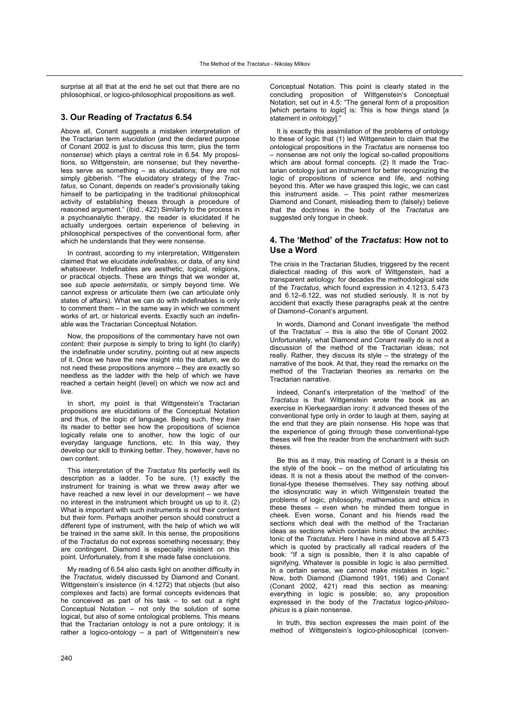surprise at all that at the end he set out that there are no philosophical, or logico-philosophical propositions as well.

#### **3. Our Reading of** *Tractatus* **6.54**

Above all, Conant suggests a mistaken interpretation of the Tractarian term *elucidation* (and the declared purpose of Conant 2002 is just to discuss this term, plus the term *nonsense*) which plays a central role in 6.54. My propositions, so Wittgenstein, are nonsense; but they nevertheless serve as something – as elucidations; they are not simply gibberish. "The elucidatory strategy of the *Tractatus*, so Conant, depends on reader's provisionally taking himself to be participating in the traditional philosophical activity of establishing theses through a procedure of reasoned argument." (ibid., 422) Similarly to the process in a psychoanalytic therapy, the reader is elucidated if he actually undergoes certain experience of believing in philosophical perspectives of the conventional form, after which he understands that they were nonsense.

In contrast, according to my interpretation, Wittgenstein claimed that we elucidate *indefinables*, or data, of any kind whatsoever. Indefinables are aesthetic, logical, religions, or practical objects. These are things that we wonder at, see *sub specie aeternitatis*, or simply beyond time. We cannot express or articulate them (we can articulate only states of affairs). What we can do with indefinables is only to comment them – in the same way in which we comment works of art, or historical events. Exactly such an indefinable was the Tractarian Conceptual Notation.

Now, the propositions of the commentary have not own content: their purpose is simply to bring to light (to clarify) the indefinable under scrutiny, pointing out at new aspects of it. Once we have the new insight into the datum, we do not need these propositions anymore – they are exactly so needless as the ladder with the help of which we have reached a certain height (level) on which we now act and live.

In short, my point is that Wittgenstein's Tractarian propositions are elucidations of the Conceptual Notation and thus, of the logic of language. Being such, they *train* its reader to better see how the propositions of science logically relate one to another, how the logic of our everyday language functions, etc. In this way, they develop our skill to thinking better. They, however, have no own content.

This interpretation of the *Tractatus* fits perfectly well its description as a ladder. To be sure, (1) exactly the instrument for training is what we threw away after we have reached a new level in our development - we have no interest in the instrument which brought us up to it. (2) What is important with such instruments is not their content but their form. Perhaps another person should construct a different type of instrument, with the help of which we will be trained in the same skill. In this sense, the propositions of the *Tractatus* do not express something necessary; they are contingent. Diamond is especially insistent on this point. Unfortunately, from it she made false conclusions.

My reading of 6.54 also casts light on another difficulty in the *Tractatus*, widely discussed by Diamond and Conant. Wittgenstein's insistence (in 4.1272) that objects (but also complexes and facts) are formal concepts evidences that he conceived as part of his task – to set out a right Conceptual Notation – not only the solution of some logical, but also of some ontological problems. This means that the Tractarian ontology is not a pure ontology; it is rather a logico-ontology – a part of Wittgenstein's new

Conceptual Notation. This point is clearly stated in the concluding proposition of Wittgenstein's Conceptual Notation, set out in 4.5: "The general form of a proposition [which pertains to *logic*] is: This is how things stand [a statement in *ontology*]."

It is exactly this assimilation of the problems of ontology to these of logic that (1) led Wittgenstein to claim that the ontological propositions in the *Tractatus* are nonsense too – nonsense are not only the logical so-called propositions which are about formal concepts. (2) It made the Tractarian ontology just an instrument for better recognizing the logic of propositions of science and life, and nothing beyond this. After we have grasped this logic, we can cast this instrument aside. – This point rather mesmerizes Diamond and Conant, misleading them to (falsely) believe that the doctrines in the body of the *Tractatus* are suggested only tongue in cheek.

### **4. The 'Method' of the** *Tractatus***: How not to Use a Word**

The crisis in the Tractarian Studies, triggered by the recent dialectical reading of this work of Wittgenstein, had a transparent aetiology: for decades the methodological side of the *Tractatus*, which found expression in 4.1213, 5.473 and 6.12–6.122, was not studied seriously. It is not by accident that exactly these paragraphs peak at the centre of Diamond–Conant's argument.

In words, Diamond and Conant investigate 'the method of the Tractatus' – this is also the title of Conant 2002. Unfortunately, what Diamond and Conant really do is not a discussion of the method of the Tractarian ideas; not really. Rather, they discuss its style – the strategy of the narrative of the book. At that, they read the remarks on the method of the Tractarian theories as remarks on the Tractarian narrative.

Indeed, Conant's interpretation of the 'method' of the *Tractatus* is that Wittgenstein wrote the book as an exercise in Kierkegaardian irony: it advanced theses of the conventional type only in order to laugh at them, saying at the end that they are plain nonsense. His hope was that the experience of going through these conventional-type theses will free the reader from the enchantment with such theses.

Be this as it may, this reading of Conant is a thesis on the style of the book – on the method of articulating his ideas. It is not a thesis about the method of the conventional-type thesese themselves. They say nothing about the idiosyncratic way in which Wittgenstein treated the problems of logic, philosophy, mathematics and ethics in these theses – even when he minded them tongue in cheek. Even worse, Conant and his friends read the sections which deal with the method of the Tractarian ideas as sections which contain hints about the architectonic of the *Tractatus*. Here I have in mind above all 5.473 which is quoted by practically all radical readers of the book: "If a sign is possible, then it is also capable of signifying. Whatever is possible in logic is also permitted. In a certain sense, we cannot make mistakes in logic." Now, both Diamond (Diamond 1991, 196) and Conant (Conant 2002, 421) read this section as meaning: everything in logic is possible; so, any proposition expressed in the body of the *Tractatus* logico-*philosophicus* is a plain nonsense.

In truth, this section expresses the main point of the method of Wittgenstein's logico-philosophical (conven-